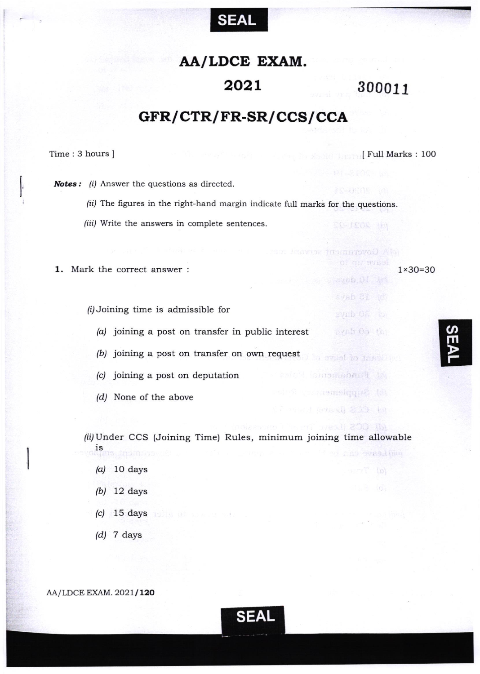

## AA/LDCE EXAM.

## 2021 300011

Haven instantovod Aloi

of an ovest

 $a$ vob  $0$ í  $1$ d

svab 31 (d)

synb Off to

bysb Oo (b)

la svast lo Jambin

ismomoban4 to

(d) Supplement

(pyaxi) 卷00 hq

41 200 Ibi

## GFR/ CTR/ FR-SR/ CCS/ CCA

Time: 3 hours ]

<sup>I</sup>Full Marks : 100

1x30=30

**Notes:** (i) Answer the questions as directed.

- (ii) The figures in the right-hand margin indicate full marks for the questions.
- /iii/ Write the answers in complete sentences.
- 1. Mark the correct answer :

 $\hat{\mu}$  Joining time is admissible for

- (a) joining a post on transfer in public interest
- /bi joining a post on transfer on own request
- /c/ joining a post on deputation
- (d/ None of the above

(ii) Under CCS (Joining Time) Rules, minimum joining time allowable IS nso gynad (ma

- $(a)$  10 days
- (b) 12 days
- $(c)$  15 days
- $(d)$  7 days

AA/LDCE EXAM. 2021/120



 $\boldsymbol{\omega}$ m P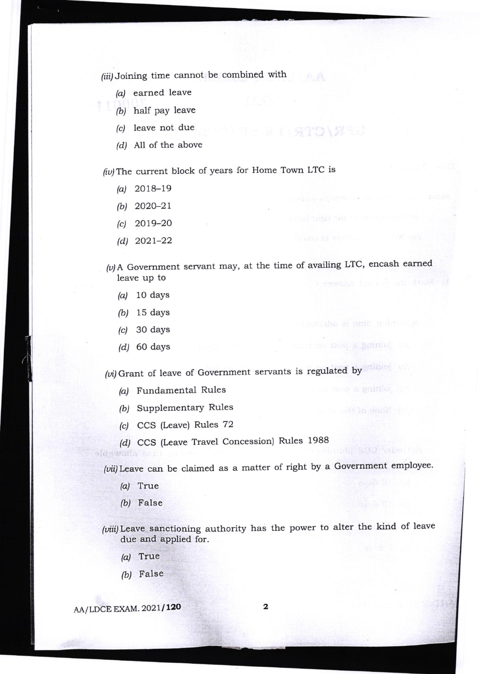(iii) Joining time cannot be combined with

- (a) earned leave
- $(b)$  half pay leave
- (c) leave not due
- $(d)$  All of the above

 $(iv)$  The current block of years for Home Town LTC is

- $(a)$  2018-19
- (b) 2o2o-2t
- $(c)$  2019-20
- $(d)$  2021-22

 $(v)$ A Government servant may, at the time of availing LTC, encash earned leave up to

STO VERS

ends the particle range is much that for the

长老元素,我们有什么问题,但是我们是我们的

os i no feoq a **grínio**l ("e :

i na tzoe **a guinio**r ( )

- $\alpha$ ) 10 days
- (b/ 15 days
- $(c)$  30 days
- $(d)$  60 days

(vi) Grant of leave of Government servants is regulated by the contract of

- (a) Fundamental Rules
- (b) Supplementary Rules
- (c) CCS (Leave) Rules 72
- (d) CCS (Leave Travel Concession) Rules 1988

(vii) Leave can be claimed as a matter of right by a Government employee.

(a) True

aldswalls &

False h)

(viii) Leave sanctioning authority has the power to alter the kind of leave due and applied for.

- (a) True
- (b) False

AA/LDCE EXAM. 2021/120 2